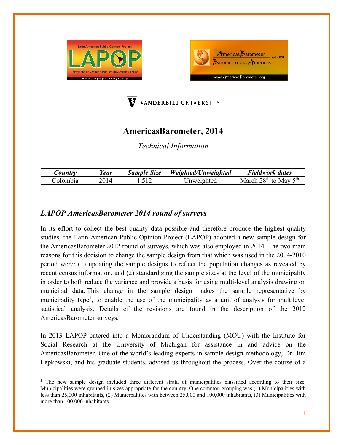





# **AmericasBarometer, 2014**

*Technical Information* 

| Country  | 'ear | <b>Sample Size</b> | Weighted/Unweighted | Fieldwork dates              |
|----------|------|--------------------|---------------------|------------------------------|
| Colombia |      |                    | Inweighted          | $28th$ to May $5th$<br>March |

## *LAPOP AmericasBarometer 2014 round of surveys*

In its effort to collect the best quality data possible and therefore produce the highest quality studies, the Latin American Public Opinion Project (LAPOP) adopted a new sample design for the AmericasBarometer 2012 round of surveys, which was also employed in 2014. The two main reasons for this decision to change the sample design from that which was used in the 2004-2010 period were: (1) updating the sample designs to reflect the population changes as revealed by recent census information, and (2) standardizing the sample sizes at the level of the municipality in order to both reduce the variance and provide a basis for using multi-level analysis drawing on municipal data. This change in the sample design makes the sample representative by municipality type<sup>1</sup>, to enable the use of the municipality as a unit of analysis for multilevel statistical analysis. Details of the revisions are found in the description of the 2012 AmericasBarometer surveys.

In 2013 LAPOP entered into a Memorandum of Understanding (MOU) with the Institute for Social Research at the University of Michigan for assistance in and advice on the AmericasBarometer. One of the world's leading experts in sample design methodology, Dr. Jim Lepkowski, and his graduate students, advised us throughout the process. Over the course of a

<sup>&</sup>lt;sup>1</sup> The new sample design included three different strata of municipalities classified according to their size. Municipalities were grouped in sizes appropriate for the country. One common grouping was (1) Municipalities with less than 25,000 inhabitants, (2) Municipalities with between 25,000 and 100,000 inhabitants, (3) Municipalities with more than 100,000 inhabitants.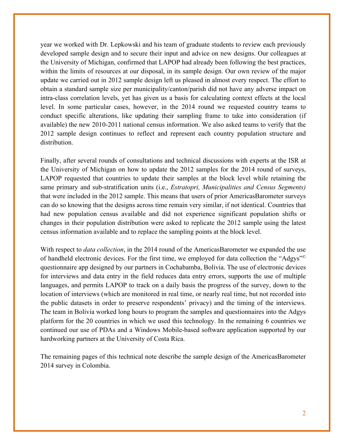year we worked with Dr. Lepkowski and his team of graduate students to review each previously developed sample design and to secure their input and advice on new designs. Our colleagues at the University of Michigan, confirmed that LAPOP had already been following the best practices, within the limits of resources at our disposal, in its sample design. Our own review of the major update we carried out in 2012 sample design left us pleased in almost every respect. The effort to obtain a standard sample size per municipality/canton/parish did not have any adverse impact on intra-class correlation levels, yet has given us a basis for calculating context effects at the local level. In some particular cases, however, in the 2014 round we requested country teams to conduct specific alterations, like updating their sampling frame to take into consideration (if available) the new 2010-2011 national census information. We also asked teams to verify that the 2012 sample design continues to reflect and represent each country population structure and distribution.

Finally, after several rounds of consultations and technical discussions with experts at the ISR at the University of Michigan on how to update the 2012 samples for the 2014 round of surveys, LAPOP requested that countries to update their samples at the block level while retaining the same primary and sub-stratification units (i.e., *Estratopri, Municipalities and Census Segments)*  that were included in the 2012 sample. This means that users of prior AmericasBarometer surveys can do so knowing that the designs across time remain very similar, if not identical. Countries that had new population census available and did not experience significant population shifts or changes in their population distribution were asked to replicate the 2012 sample using the latest census information available and to replace the sampling points at the block level.

With respect to *data collection*, in the 2014 round of the AmericasBarometer we expanded the use of handheld electronic devices. For the first time, we employed for data collection the "Adgys"© questionnaire app designed by our partners in Cochabamba, Bolivia. The use of electronic devices for interviews and data entry in the field reduces data entry errors, supports the use of multiple languages, and permits LAPOP to track on a daily basis the progress of the survey, down to the location of interviews (which are monitored in real time, or nearly real time, but not recorded into the public datasets in order to preserve respondents' privacy) and the timing of the interviews. The team in Bolivia worked long hours to program the samples and questionnaires into the Adgys platform for the 20 countries in which we used this technology. In the remaining 6 countries we continued our use of PDAs and a Windows Mobile-based software application supported by our hardworking partners at the University of Costa Rica.

The remaining pages of this technical note describe the sample design of the AmericasBarometer 2014 survey in Colombia.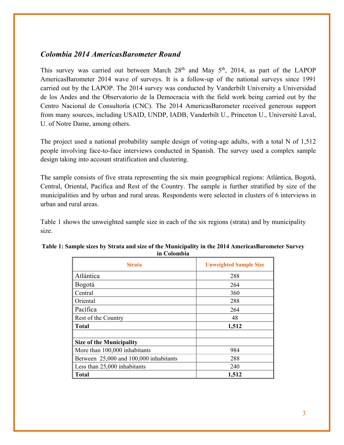### *Colombia 2014 AmericasBarometer Round*

This survey was carried out between March  $28<sup>th</sup>$  and May  $5<sup>th</sup>$ , 2014, as part of the LAPOP AmericasBarometer 2014 wave of surveys. It is a follow-up of the national surveys since 1991 carried out by the LAPOP. The 2014 survey was conducted by Vanderbilt University a Universidad de los Andes and the Observatorio de la Democracia with the field work being carried out by the Centro Nacional de Consultoría (CNC). The 2014 AmericasBarometer received generous support from many sources, including USAID, UNDP, IADB, Vanderbilt U., Princeton U., Université Laval, U. of Notre Dame, among others.

The project used a national probability sample design of voting-age adults, with a total N of 1,512 people involving face-to-face interviews conducted in Spanish. The survey used a complex sample design taking into account stratification and clustering.

The sample consists of five strata representing the six main geographical regions: Atlántica, Bogotá, Central, Oriental, Pacífica and Rest of the Country. The sample is further stratified by size of the municipalities and by urban and rural areas. Respondents were selected in clusters of 6 interviews in urban and rural areas.

Table 1 shows the unweighted sample size in each of the six regions (strata) and by municipality size.

| <b>Strata</b>                          | <b>Unweighted Sample Size</b> |
|----------------------------------------|-------------------------------|
| Atlántica                              | 288                           |
| Bogotá                                 | 264                           |
| Central                                | 360                           |
| Oriental                               | 288                           |
| Pacífica                               | 264                           |
| Rest of the Country                    | 48                            |
| <b>Total</b>                           | 1,512                         |
|                                        |                               |
| <b>Size of the Municipality</b>        |                               |
| More than 100,000 inhabitants          | 984                           |
| Between 25,000 and 100,000 inhabitants | 288                           |
| Less than 25,000 inhabitants           | 240                           |
| <b>Total</b>                           | 1,512                         |

#### **Table 1: Sample sizes by Strata and size of the Municipality in the 2014 AmericasBarometer Survey in Colombia**